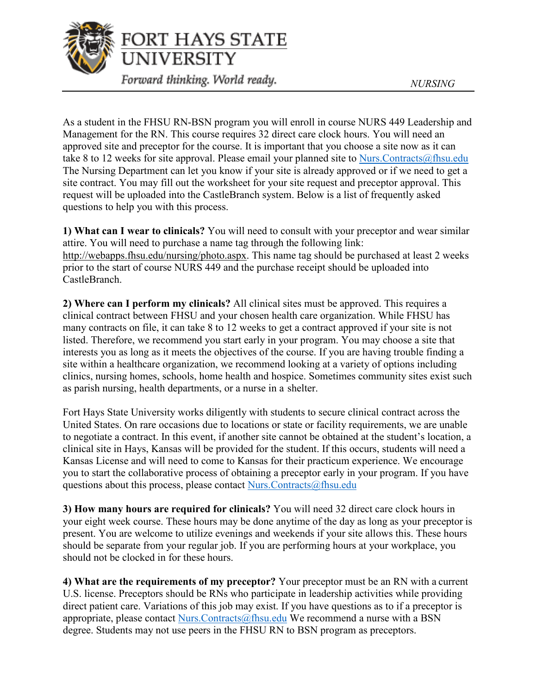

As a student in the FHSU RN-BSN program you will enroll in course NURS 449 Leadership and Management for the RN. This course requires 32 direct care clock hours. You will need an approved site and preceptor for the course. It is important that you choose a site now as it can take 8 to 12 weeks for site approval. Please email your planned site to Nurs. Contracts  $@$  fhsu. edu The Nursing Department can let you know if your site is already approved or if we need to get a site contract. You may fill out the worksheet for your site request and preceptor approval. This request will be uploaded into the CastleBranch system. Below is a list of frequently asked questions to help you with this process.

**1) What can I wear to clinicals?** You will need to consult with your preceptor and wear similar attire. You will need to purchase a name tag through the following link: [http://webapps.fhsu.edu/nursing/photo.aspx.](http://webapps.fhsu.edu/nursing/photo.aspx) This name tag should be purchased at least 2 weeks prior to the start of course NURS 449 and the purchase receipt should be uploaded into CastleBranch.

**2) Where can I perform my clinicals?** All clinical sites must be approved. This requires a clinical contract between FHSU and your chosen health care organization. While FHSU has many contracts on file, it can take 8 to 12 weeks to get a contract approved if your site is not listed. Therefore, we recommend you start early in your program. You may choose a site that interests you as long as it meets the objectives of the course. If you are having trouble finding a site within a healthcare organization, we recommend looking at a variety of options including clinics, nursing homes, schools, home health and hospice. Sometimes community sites exist such as parish nursing, health departments, or a nurse in a shelter.

Fort Hays State University works diligently with students to secure clinical contract across the United States. On rare occasions due to locations or state or facility requirements, we are unable to negotiate a contract. In this event, if another site cannot be obtained at the student's location, a clinical site in Hays, Kansas will be provided for the student. If this occurs, students will need a Kansas License and will need to come to Kansas for their practicum experience. We encourage you to start the collaborative process of obtaining a preceptor early in your program. If you have questions about this process, please contact [Nurs.Contracts@fhsu.edu](mailto:Nurs.Contracts@fhsu.edu)

**3) How many hours are required for clinicals?** You will need 32 direct care clock hours in your eight week course. These hours may be done anytime of the day as long as your preceptor is present. You are welcome to utilize evenings and weekends if your site allows this. These hours should be separate from your regular job. If you are performing hours at your workplace, you should not be clocked in for these hours.

**4) What are the requirements of my preceptor?** Your preceptor must be an RN with a current U.S. license. Preceptors should be RNs who participate in leadership activities while providing direct patient care. Variations of this job may exist. If you have questions as to if a preceptor is appropriate, please contact Nurs. Contracts  $@f$ hsu.edu We recommend a nurse with a BSN degree. Students may not use peers in the FHSU RN to BSN program as preceptors.